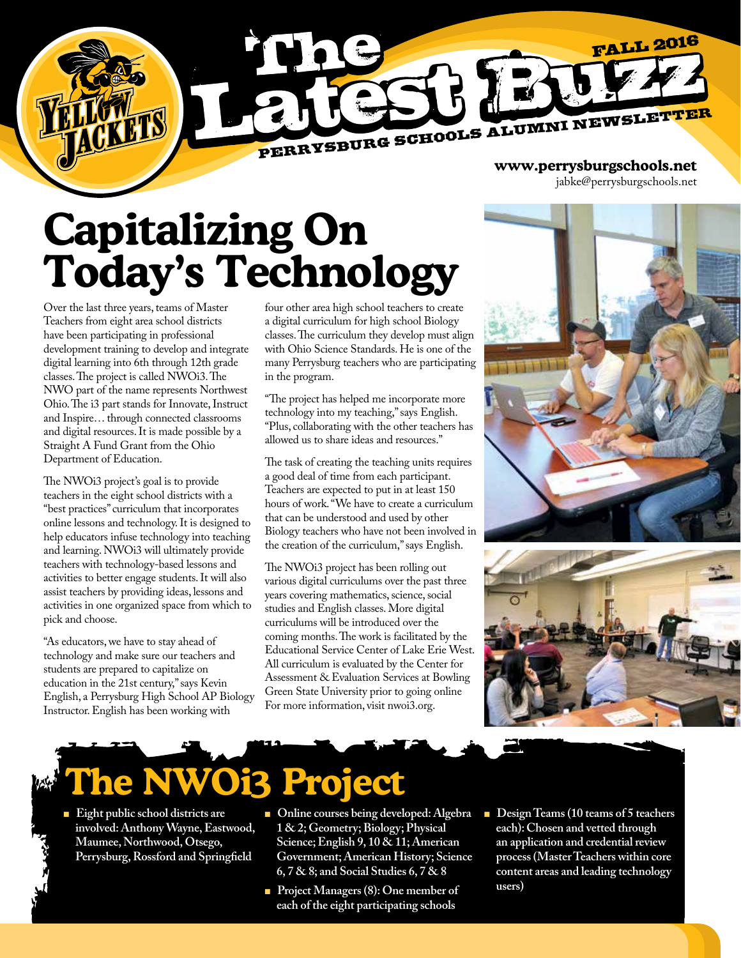

jabke@perrysburgschools.net

# **Capitalizing On Today's Technology**

Over the last three years, teams of Master Teachers from eight area school districts have been participating in professional development training to develop and integrate digital learning into 6th through 12th grade classes. The project is called NWOi3. The NWO part of the name represents Northwest Ohio. The i3 part stands for Innovate, Instruct and Inspire… through connected classrooms and digital resources. It is made possible by a Straight A Fund Grant from the Ohio Department of Education.

The NWOi3 project's goal is to provide teachers in the eight school districts with a "best practices" curriculum that incorporates online lessons and technology. It is designed to help educators infuse technology into teaching and learning. NWOi3 will ultimately provide teachers with technology-based lessons and activities to better engage students. It will also assist teachers by providing ideas, lessons and activities in one organized space from which to pick and choose.

"As educators, we have to stay ahead of technology and make sure our teachers and students are prepared to capitalize on education in the 21st century," says Kevin English, a Perrysburg High School AP Biology Instructor. English has been working with

four other area high school teachers to create a digital curriculum for high school Biology classes. The curriculum they develop must align with Ohio Science Standards. He is one of the many Perrysburg teachers who are participating in the program.

"The project has helped me incorporate more technology into my teaching," says English. "Plus, collaborating with the other teachers has allowed us to share ideas and resources."

The task of creating the teaching units requires a good deal of time from each participant. Teachers are expected to put in at least 150 hours of work. "We have to create a curriculum that can be understood and used by other Biology teachers who have not been involved in the creation of the curriculum," says English.

The NWOi3 project has been rolling out various digital curriculums over the past three years covering mathematics, science, social studies and English classes. More digital curriculums will be introduced over the coming months. The work is facilitated by the Educational Service Center of Lake Erie West. All curriculum is evaluated by the Center for Assessment & Evaluation Services at Bowling Green State University prior to going online For more information, visit nwoi3.org.





# **The NWOi3 Project**

- **Eight public school districts are involved: Anthony Wayne, Eastwood, Maumee, Northwood, Otsego, Perrysburg, Rossford and Springfield**
- Online courses being developed: Algebra  **1 & 2; Geometry; Biology; Physical Science; English 9, 10 & 11; American Government; American History; Science 6, 7 & 8; and Social Studies 6, 7 & 8**
- <sup>n</sup> **Project Managers (8): One member of each of the eight participating schools**
- Design Teams (10 teams of 5 teachers  **each): Chosen and vetted through an application and credential review process (Master Teachers within core content areas and leading technology users)**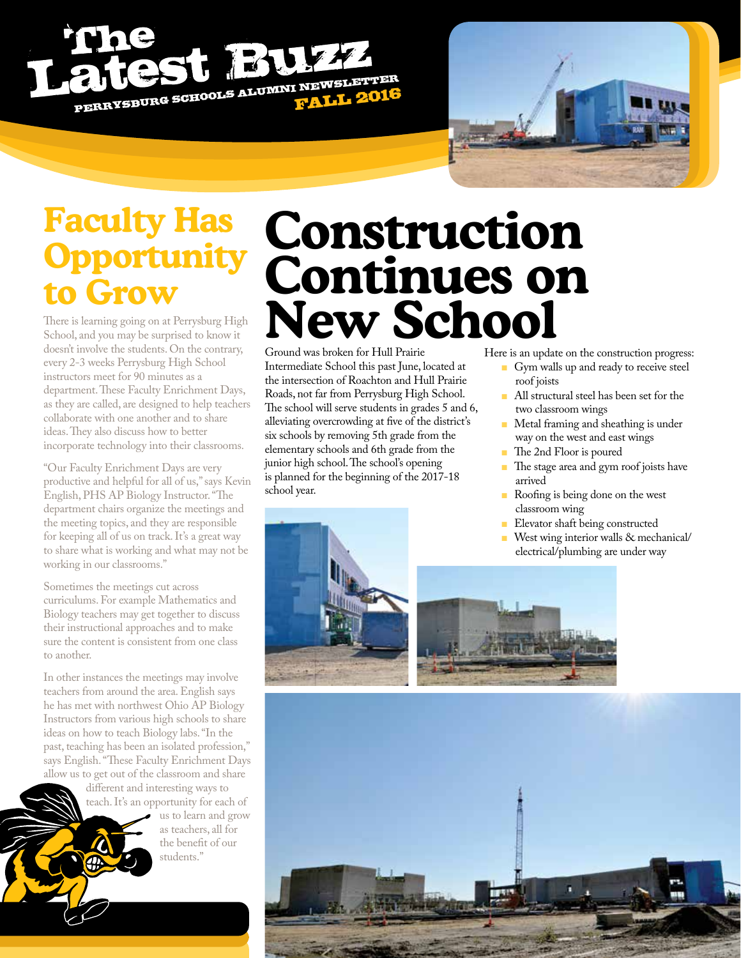# PERRYSBURG SCHOOLS ALUMNI NEWSLETTER



### **Faculty Has Opportunity to Grow**

There is learning going on at Perrysburg High School, and you may be surprised to know it doesn't involve the students. On the contrary, every 2-3 weeks Perrysburg High School instructors meet for 90 minutes as a department. These Faculty Enrichment Days, as they are called, are designed to help teachers collaborate with one another and to share ideas. They also discuss how to better incorporate technology into their classrooms.

"Our Faculty Enrichment Days are very productive and helpful for all of us," says Kevin English, PHS AP Biology Instructor. "The department chairs organize the meetings and the meeting topics, and they are responsible for keeping all of us on track. It's a great way to share what is working and what may not be working in our classrooms."

Sometimes the meetings cut across curriculums. For example Mathematics and Biology teachers may get together to discuss their instructional approaches and to make sure the content is consistent from one class to another.

In other instances the meetings may involve teachers from around the area. English says he has met with northwest Ohio AP Biology Instructors from various high schools to share ideas on how to teach Biology labs. "In the past, teaching has been an isolated profession," says English. "These Faculty Enrichment Days allow us to get out of the classroom and share

different and interesting ways to teach. It's an opportunity for each of

us to learn and grow as teachers, all for the benefit of our students."

# **Construction Continues on New School**

Ground was broken for Hull Prairie Intermediate School this past June, located at the intersection of Roachton and Hull Prairie Roads, not far from Perrysburg High School. The school will serve students in grades 5 and 6, alleviating overcrowding at five of the district's six schools by removing 5th grade from the elementary schools and 6th grade from the junior high school. The school's opening is planned for the beginning of the 2017-18 school year.

Here is an update on the construction progress:

- **n** Gym walls up and ready to receive steel roof joists
- **All structural steel has been set for the** two classroom wings
- **n** Metal framing and sheathing is under way on the west and east wings
- <sup>n</sup>The 2nd Floor is poured
- **n** The stage area and gym roof joists have arrived
- **n** Roofing is being done on the west classroom wing
- <sup>n</sup>Elevator shaft being constructed
- West wing interior walls & mechanical/ electrical/plumbing are under way



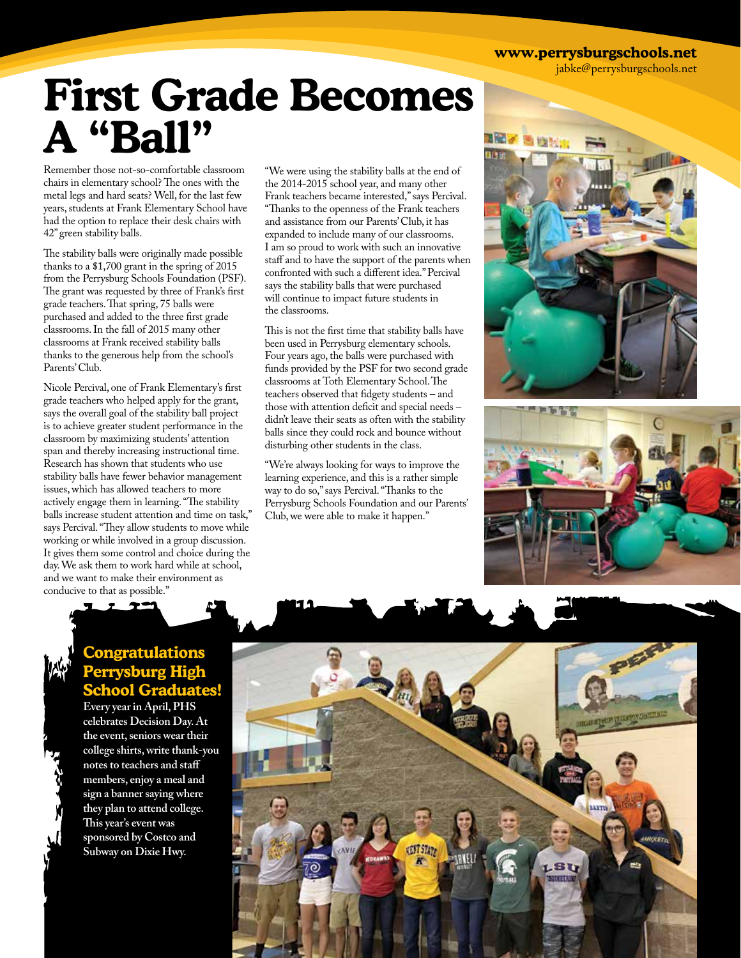**www.perrysburgschools.net**

jabke@perrysburgschools.net

## **First Grade Becomes A "Ball"**

Remember those not-so-comfortable classroom chairs in elementary school? The ones with the metal legs and hard seats? Well, for the last few years, students at Frank Elementary School have had the option to replace their desk chairs with 42" green stability balls.

The stability balls were originally made possible thanks to a \$1,700 grant in the spring of 2015 from the Perrysburg Schools Foundation (PSF). The grant was requested by three of Frank's first grade teachers. That spring, 75 balls were purchased and added to the three first grade classrooms. In the fall of 2015 many other classrooms at Frank received stability balls thanks to the generous help from the school's Parents' Club.

Nicole Percival, one of Frank Elementary's first grade teachers who helped apply for the grant, says the overall goal of the stability ball project is to achieve greater student performance in the classroom by maximizing students' attention span and thereby increasing instructional time. Research has shown that students who use stability balls have fewer behavior management issues, which has allowed teachers to more actively engage them in learning. "The stability balls increase student attention and time on task," says Percival. "They allow students to move while working or while involved in a group discussion. It gives them some control and choice during the day. We ask them to work hard while at school, and we want to make their environment as conducive to that as possible."

"We were using the stability balls at the end of the 2014-2015 school year, and many other Frank teachers became interested," says Percival. "Thanks to the openness of the Frank teachers and assistance from our Parents' Club, it has expanded to include many of our classrooms. I am so proud to work with such an innovative staff and to have the support of the parents when confronted with such a different idea." Percival says the stability balls that were purchased will continue to impact future students in the classrooms.

This is not the first time that stability balls have been used in Perrysburg elementary schools. Four years ago, the balls were purchased with funds provided by the PSF for two second grade classrooms at Toth Elementary School. The teachers observed that fidgety students – and those with attention deficit and special needs – didn't leave their seats as often with the stability balls since they could rock and bounce without disturbing other students in the class.

"We're always looking for ways to improve the learning experience, and this is a rather simple way to do so," says Percival. "Thanks to the Perrysburg Schools Foundation and our Parents' Club, we were able to make it happen."





#### **Congratulations Perrysburg High chool Graduat**

**Every year in April, PHS celebrates Decision Day. At the event, seniors wear their college shirts, write thank-you notes to teachers and staff members, enjoy a meal and sign a banner saying where they plan to attend college. This year's event was sponsored by Costco and Subway on Dixie Hwy.**

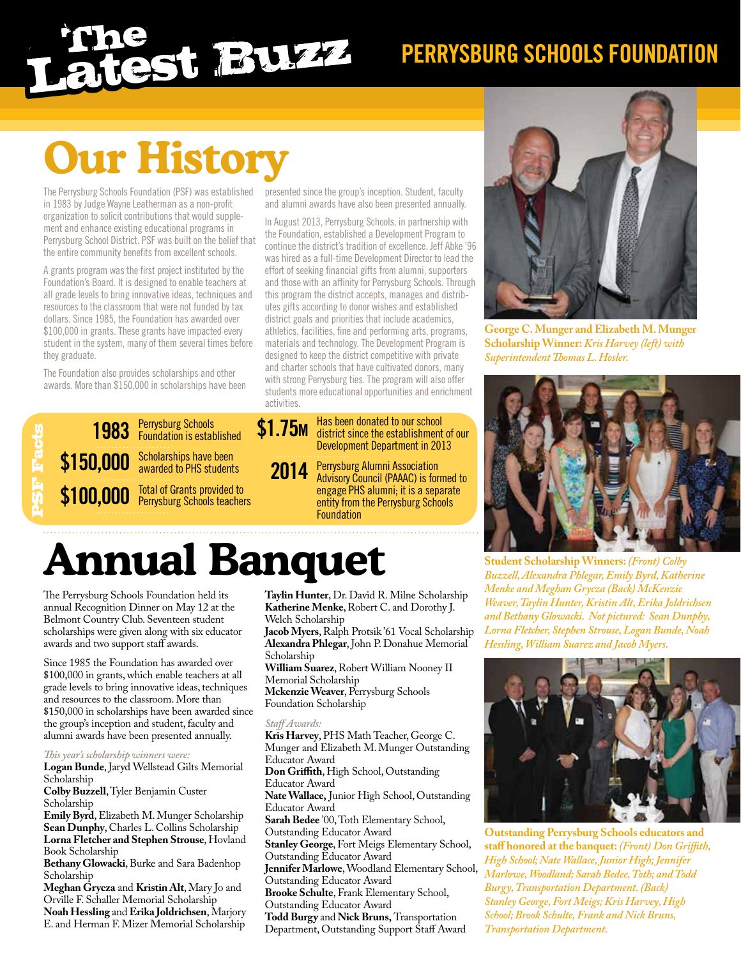# **PERRYSBURG SCHOOLS FOUNDATION**

# **Our History**

The Perrysburg Schools Foundation (PSF) was established in 1983 by Judge Wayne Leatherman as a non-profit organization to solicit contributions that would supplement and enhance existing educational programs in Perrysburg School District. PSF was built on the belief that the entire community benefits from excellent schools.

A grants program was the first project instituted by the Foundation's Board. It is designed to enable teachers at all grade levels to bring innovative ideas, techniques and resources to the classroom that were not funded by tax dollars. Since 1985, the Foundation has awarded over \$100,000 in grants. These grants have impacted every student in the system, many of them several times before they graduate.

The Foundation also provides scholarships and other awards. More than \$150,000 in scholarships have been

Perrysburg Schools Foundation is established \$150,000 Scholarships have been<br>awarded to PHS students awarded to PHS students Total of Grants provided to Perrysburg Schools teachers **\$100,000** PSF Facts **1983**

presented since the group's inception. Student, faculty and alumni awards have also been presented annually.

In August 2013, Perrysburg Schools, in partnership with the Foundation, established a Development Program to continue the district's tradition of excellence. Jeff Abke '96 was hired as a full-time Development Director to lead the effort of seeking financial gifts from alumni, supporters and those with an affinity for Perrysburg Schools. Through this program the district accepts, manages and distributes gifts according to donor wishes and established district goals and priorities that include academics, athletics, facilities, fine and performing arts, programs, materials and technology. The Development Program is designed to keep the district competitive with private and charter schools that have cultivated donors, many with strong Perrysburg ties. The program will also offer students more educational opportunities and enrichment activities.



- district since the establishment of our Development Department in 2013
- Perrysburg Alumni Association Advisory Council (PAAAC) is formed to engage PHS alumni; it is a separate entity from the Perrysburg Schools **Foundation 2014**

## **Annual Banquet**

The Perrysburg Schools Foundation held its annual Recognition Dinner on May 12 at the Belmont Country Club. Seventeen student scholarships were given along with six educator awards and two support staff awards.

Since 1985 the Foundation has awarded over \$100,000 in grants, which enable teachers at all grade levels to bring innovative ideas, techniques and resources to the classroom. More than \$150,000 in scholarships have been awarded since the group's inception and student, faculty and alumni awards have been presented annually.

#### *This year's scholarship winners were:*

**Logan Bunde**, Jaryd Wellstead Gilts Memorial Scholarship

**Colby Buzzell**, Tyler Benjamin Custer Scholarship

**Emily Byrd**, Elizabeth M. Munger Scholarship **Sean Dunphy**, Charles L. Collins Scholarship **Lorna Fletcher and Stephen Strouse**, Hovland Book Scholarship

**Bethany Glowacki**, Burke and Sara Badenhop Scholarship

**Meghan Grycza** and **Kristin Alt**, Mary Jo and Orville F. Schaller Memorial Scholarship **Noah Hessling** and **Erika Joldrichsen**, Marjory E. and Herman F. Mizer Memorial Scholarship **Taylin Hunter**, Dr. David R. Milne Scholarship **Katherine Menke**, Robert C. and Dorothy J. Welch Scholarship

Jacob Myers, Ralph Protsik '61 Vocal Scholarship **Alexandra Phlegar**, John P. Donahue Memorial Scholarship

**William Suarez**, Robert William Nooney II Memorial Scholarship

**Mckenzie Weaver**, Perrysburg Schools Foundation Scholarship

#### *Staff Awards:*

**Kris Harvey**, PHS Math Teacher, George C. Munger and Elizabeth M. Munger Outstanding Educator Award **Don Griffith**, High School, Outstanding Educator Award **Nate Wallace,** Junior High School, Outstanding Educator Award **Sarah Bedee** '00, Toth Elementary School, Outstanding Educator Award **Stanley George**, Fort Meigs Elementary School, Outstanding Educator Award **Jennifer Marlowe**, Woodland Elementary School, Outstanding Educator Award **Brooke Schulte**, Frank Elementary School, Outstanding Educator Award

**Todd Burgy** and **Nick Bruns,** Transportation Department, Outstanding Support Staff Award



**George C. Munger and Elizabeth M. Munger Scholarship Winner:** *Kris Harvey (left) with Superintendent Thomas L. Hosler.*



**Student Scholarship Winners:** *(Front) Colby Buzzell, Alexandra Phlegar, Emily Byrd, Katherine Menke and Meghan Grycza (Back) McKenzie Weaver, Taylin Hunter, Kristin Alt, Erika Joldrichsen and Bethany Glowacki. Not pictured: Sean Dunphy, Lorna Fletcher, Stephen Strouse, Logan Bunde, Noah Hessling, William Suarez and Jacob Myers.*



**Outstanding Perrysburg Schools educators and staff honored at the banquet:** *(Front) Don Griffith, High School; Nate Wallace, Junior High; Jennifer Marlowe, Woodland; Sarah Bedee, Toth; and Todd Burgy, Transportation Department. (Back) Stanley George, Fort Meigs; Kris Harvey, High School; Brook Schulte, Frank and Nick Bruns, Transportation Department.*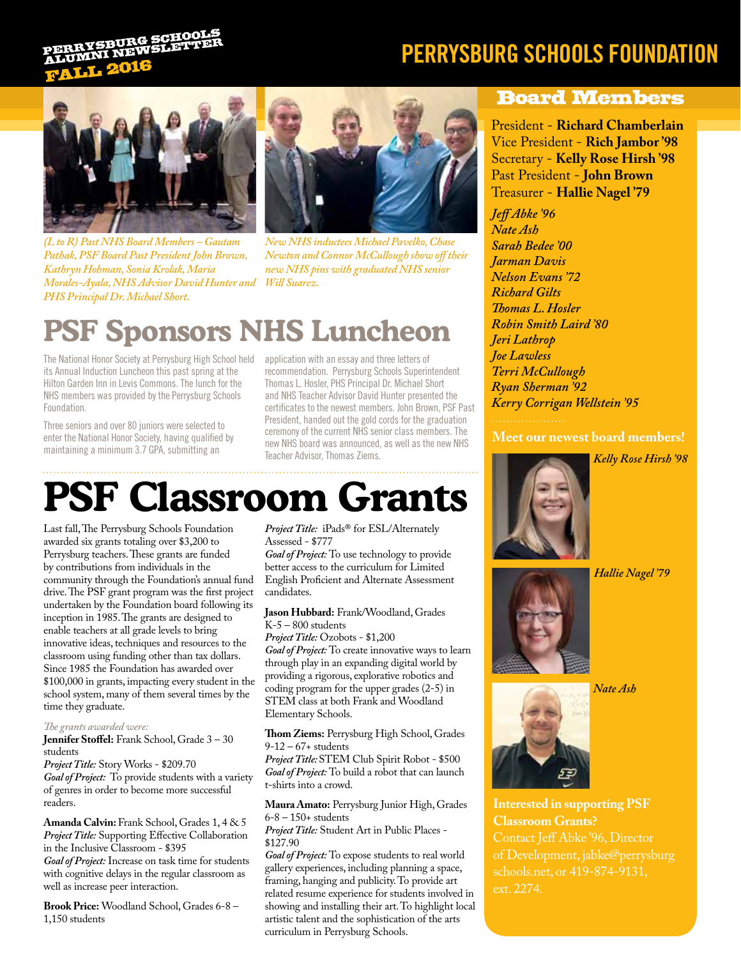### **FALL 2016** YSBURG SCHOO

### **PERRYSBURG SCHOOLS FOUNDATION**



*(L to R) Past NHS Board Members – Gautam Pathak, PSF Board Past President John Brown, Kathryn Hohman, Sonia Krolak, Maria Morales-Ayala, NHS Advisor David Hunter and Will Suarez. PHS Principal Dr. Michael Short.*



*New NHS inductees Michael Pavelko, Chase Newton and Connor McCullough show off their new NHS pins with graduated NHS senior*

### **PSF Sponsors NHS Luncheon**

The National Honor Society at Perrysburg High School held its Annual Induction Luncheon this past spring at the Hilton Garden Inn in Levis Commons. The lunch for the NHS members was provided by the Perrysburg Schools Foundation.

Three seniors and over 80 juniors were selected to enter the National Honor Society, having qualified by maintaining a minimum 3.7 GPA, submitting an

application with an essay and three letters of recommendation. Perrysburg Schools Superintendent Thomas L. Hosler, PHS Principal Dr. Michael Short and NHS Teacher Advisor David Hunter presented the certificates to the newest members. John Brown, PSF Past President, handed out the gold cords for the graduation ceremony of the current NHS senior class members. The new NHS board was announced, as well as the new NHS Teacher Advisor, Thomas Ziems.

### **PSF Classroom Grants**

Last fall, The Perrysburg Schools Foundation awarded six grants totaling over \$3,200 to Perrysburg teachers. These grants are funded by contributions from individuals in the community through the Foundation's annual fund drive. The PSF grant program was the first project undertaken by the Foundation board following its inception in 1985. The grants are designed to enable teachers at all grade levels to bring innovative ideas, techniques and resources to the classroom using funding other than tax dollars. Since 1985 the Foundation has awarded over \$100,000 in grants, impacting every student in the school system, many of them several times by the time they graduate.

#### *The grants awarded were:*

**Jennifer Stoffel:** Frank School, Grade 3 – 30 students

*Project Title:* Story Works - \$209.70 *Goal of Project:* To provide students with a variety of genres in order to become more successful readers.

**Amanda Calvin:** Frank School, Grades 1, 4 & 5 *Project Title:* Supporting Effective Collaboration in the Inclusive Classroom - \$395 *Goal of Project:* Increase on task time for students with cognitive delays in the regular classroom as well as increase peer interaction.

**Brook Price:** Woodland School, Grades 6-8 – 1,150 students

#### *Project Title:* iPads® for ESL/Alternately Assessed - \$777

*Goal of Project:* To use technology to provide better access to the curriculum for Limited English Proficient and Alternate Assessment candidates.

#### **Jason Hubbard:** Frank/Woodland, Grades K-5 – 800 students

*Project Title:* Ozobots - \$1,200 *Goal of Project:* To create innovative ways to learn through play in an expanding digital world by providing a rigorous, explorative robotics and coding program for the upper grades (2-5) in STEM class at both Frank and Woodland

**Thom Ziems:** Perrysburg High School, Grades 9-12 – 67+ students

Elementary Schools.

*Project Title:* STEM Club Spirit Robot - \$500 *Goal of Project:* To build a robot that can launch t-shirts into a crowd.

 **Maura Amato:** Perrysburg Junior High, Grades 6-8 – 150+ students

*Project Title:* Student Art in Public Places - \$127.90

*Goal of Project:* To expose students to real world gallery experiences, including planning a space, framing, hanging and publicity. To provide art related resume experience for students involved in showing and installing their art. To highlight local artistic talent and the sophistication of the arts curriculum in Perrysburg Schools.

#### Board Members

President - **Richard Chamberlain** Vice President - **Rich Jambor '98** Secretary - **Kelly Rose Hirsh '98** Past President - **John Brown** Treasurer - **Hallie Nagel '79**

*Jeff Abke '96 Nate Ash Sarah Bedee '00 Jarman Davis Nelson Evans '72 Richard Gilts Thomas L. Hosler Robin Smith Laird '80 Jeri Lathrop Joe Lawless Terri McCullough Ryan Sherman '92 Kerry Corrigan Wellstein '95*

#### **Meet our newest board members!**





*Hallie Nagel '79*



*Nate Ash*



**Interested in supporting PSF Classroom Grants?** schools.net, or 419-874-9131, ext. 2274.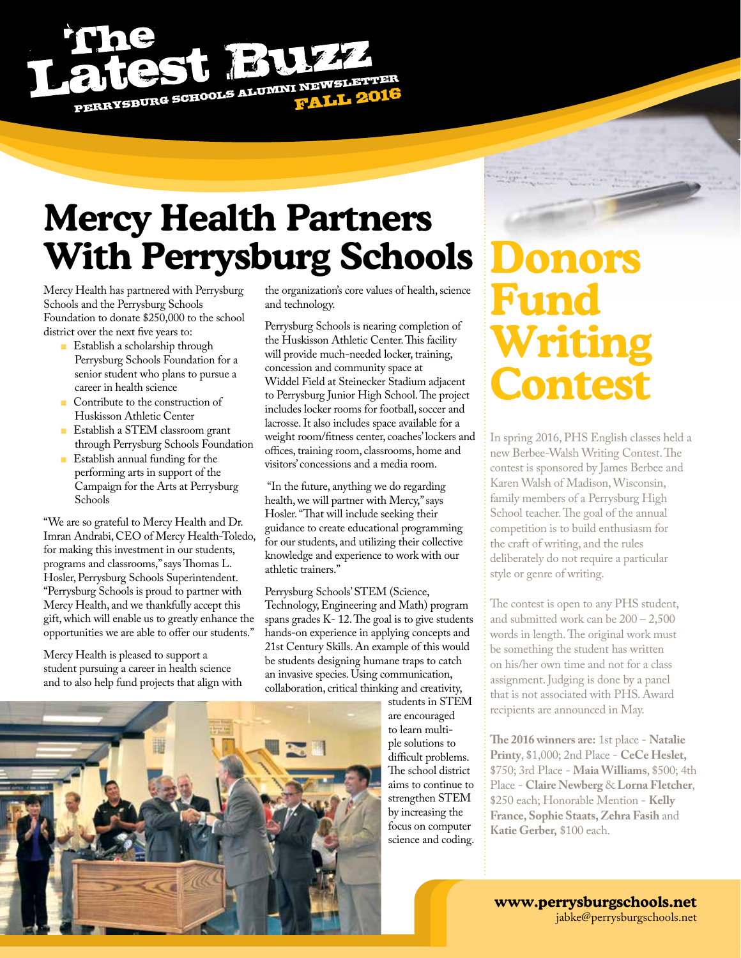

### **Mercy Health Partners With Perrysburg Schools**

Mercy Health has partnered with Perrysburg Schools and the Perrysburg Schools Foundation to donate \$250,000 to the school district over the next five years to:

- **n** Establish a scholarship through Perrysburg Schools Foundation for a senior student who plans to pursue a career in health science
- **n Contribute to the construction of** Huskisson Athletic Center
- <sup>n</sup>Establish a STEM classroom grant through Perrysburg Schools Foundation
- <sup>n</sup>Establish annual funding for the performing arts in support of the Campaign for the Arts at Perrysburg Schools

"We are so grateful to Mercy Health and Dr. Imran Andrabi, CEO of Mercy Health-Toledo, for making this investment in our students, programs and classrooms," says Thomas L. Hosler, Perrysburg Schools Superintendent. "Perrysburg Schools is proud to partner with Mercy Health, and we thankfully accept this gift, which will enable us to greatly enhance the opportunities we are able to offer our students."

Mercy Health is pleased to support a student pursuing a career in health science and to also help fund projects that align with

the organization's core values of health, science and technology.

Perrysburg Schools is nearing completion of the Huskisson Athletic Center. This facility will provide much-needed locker, training, concession and community space at Widdel Field at Steinecker Stadium adjacent to Perrysburg Junior High School. The project includes locker rooms for football, soccer and lacrosse. It also includes space available for a weight room/fitness center, coaches' lockers and offices, training room, classrooms, home and visitors' concessions and a media room.

 "In the future, anything we do regarding health, we will partner with Mercy," says Hosler. "That will include seeking their guidance to create educational programming for our students, and utilizing their collective knowledge and experience to work with our athletic trainers."

Perrysburg Schools' STEM (Science, Technology, Engineering and Math) program spans grades K- 12. The goal is to give students hands-on experience in applying concepts and 21st Century Skills. An example of this would be students designing humane traps to catch an invasive species. Using communication, collaboration, critical thinking and creativity,

students in STEM are encouraged to learn multiple solutions to difficult problems. The school district aims to continue to strengthen STEM by increasing the focus on computer science and coding.

## **Donors Fund Writing Contest**

In spring 2016, PHS English classes held a new Berbee-Walsh Writing Contest. The contest is sponsored by James Berbee and Karen Walsh of Madison, Wisconsin, family members of a Perrysburg High School teacher. The goal of the annual competition is to build enthusiasm for the craft of writing, and the rules deliberately do not require a particular style or genre of writing.

The contest is open to any PHS student, and submitted work can be 200 – 2,500 words in length. The original work must be something the student has written on his/her own time and not for a class assignment. Judging is done by a panel that is not associated with PHS. Award recipients are announced in May.

**The 2016 winners are:** 1st place - **Natalie Printy**, \$1,000; 2nd Place - **CeCe Heslet,** \$750; 3rd Place - **Maia Williams**, \$500; 4th Place - **Claire Newberg** & **Lorna Fletcher**, \$250 each; Honorable Mention - **Kelly France, Sophie Staats, Zehra Fasih** and **Katie Gerber,** \$100 each.



**www.perrysburgschools.net** jabke@perrysburgschools.net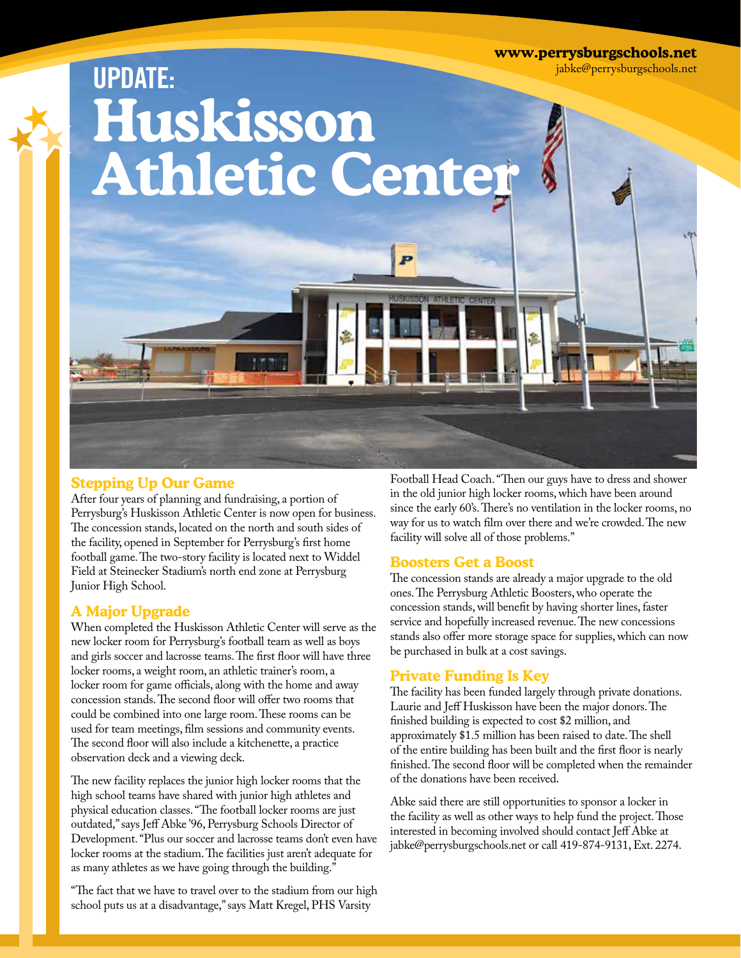**www.perrysburgschools.net**

jabke@perrysburgschools.net

# **UPDATE: Huskisson Athletic Center**

#### **Stepping Up Our Game**

After four years of planning and fundraising, a portion of Perrysburg's Huskisson Athletic Center is now open for business. The concession stands, located on the north and south sides of the facility, opened in September for Perrysburg's first home football game. The two-story facility is located next to Widdel Field at Steinecker Stadium's north end zone at Perrysburg Junior High School.

#### **A Major Upgrade**

When completed the Huskisson Athletic Center will serve as the new locker room for Perrysburg's football team as well as boys and girls soccer and lacrosse teams. The first floor will have three locker rooms, a weight room, an athletic trainer's room, a locker room for game officials, along with the home and away concession stands. The second floor will offer two rooms that could be combined into one large room. These rooms can be used for team meetings, film sessions and community events. The second floor will also include a kitchenette, a practice observation deck and a viewing deck.

The new facility replaces the junior high locker rooms that the high school teams have shared with junior high athletes and physical education classes. "The football locker rooms are just outdated," says Jeff Abke '96, Perrysburg Schools Director of Development. "Plus our soccer and lacrosse teams don't even have locker rooms at the stadium. The facilities just aren't adequate for as many athletes as we have going through the building."

"The fact that we have to travel over to the stadium from our high school puts us at a disadvantage," says Matt Kregel, PHS Varsity

Football Head Coach. "Then our guys have to dress and shower in the old junior high locker rooms, which have been around since the early 60's. There's no ventilation in the locker rooms, no way for us to watch film over there and we're crowded. The new facility will solve all of those problems."

#### **Boosters Get a Boost**

The concession stands are already a major upgrade to the old ones. The Perrysburg Athletic Boosters, who operate the concession stands, will benefit by having shorter lines, faster service and hopefully increased revenue. The new concessions stands also offer more storage space for supplies, which can now be purchased in bulk at a cost savings.

#### **Private Funding Is Key**

The facility has been funded largely through private donations. Laurie and Jeff Huskisson have been the major donors. The finished building is expected to cost \$2 million, and approximately \$1.5 million has been raised to date. The shell of the entire building has been built and the first floor is nearly finished. The second floor will be completed when the remainder of the donations have been received.

Abke said there are still opportunities to sponsor a locker in the facility as well as other ways to help fund the project. Those interested in becoming involved should contact Jeff Abke at jabke@perrysburgschools.net or call 419-874-9131, Ext. 2274.